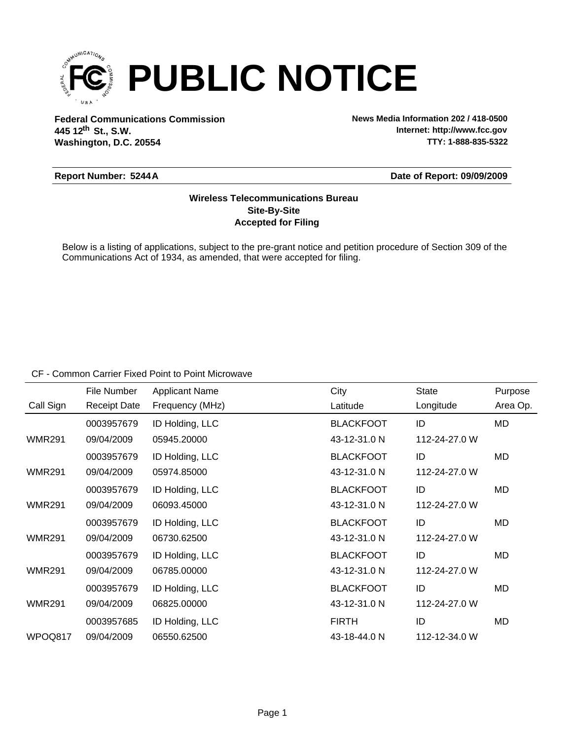

**Federal Communications Commission News Media Information 202 / 418-0500 Washington, D.C. 20554 th 445 12 St., S.W.**

**Internet: http://www.fcc.gov TTY: 1-888-835-5322**

### **Report Number: 5244A**

### **Date of Report: 09/09/2009**

# **Accepted for Filing Site-By-Site Wireless Telecommunications Bureau**

Below is a listing of applications, subject to the pre-grant notice and petition procedure of Section 309 of the Communications Act of 1934, as amended, that were accepted for filing.

CF - Common Carrier Fixed Point to Point Microwave

|               | File Number         | <b>Applicant Name</b> | City             | <b>State</b>  | Purpose  |
|---------------|---------------------|-----------------------|------------------|---------------|----------|
| Call Sign     | <b>Receipt Date</b> | Frequency (MHz)       | Latitude         | Longitude     | Area Op. |
|               | 0003957679          | ID Holding, LLC       | <b>BLACKFOOT</b> | ID            | MD       |
| <b>WMR291</b> | 09/04/2009          | 05945.20000           | 43-12-31.0 N     | 112-24-27.0 W |          |
|               | 0003957679          | ID Holding, LLC       | <b>BLACKFOOT</b> | ID            | MD       |
| <b>WMR291</b> | 09/04/2009          | 05974.85000           | 43-12-31.0 N     | 112-24-27.0 W |          |
|               | 0003957679          | ID Holding, LLC       | <b>BLACKFOOT</b> | ID            | MD       |
| <b>WMR291</b> | 09/04/2009          | 06093.45000           | 43-12-31.0 N     | 112-24-27.0 W |          |
|               | 0003957679          | ID Holding, LLC       | <b>BLACKFOOT</b> | ID            | MD       |
| <b>WMR291</b> | 09/04/2009          | 06730.62500           | 43-12-31.0 N     | 112-24-27.0 W |          |
|               | 0003957679          | ID Holding, LLC       | <b>BLACKFOOT</b> | ID            | MD       |
| <b>WMR291</b> | 09/04/2009          | 06785.00000           | 43-12-31.0 N     | 112-24-27.0 W |          |
|               | 0003957679          | ID Holding, LLC       | <b>BLACKFOOT</b> | ID            | MD       |
| <b>WMR291</b> | 09/04/2009          | 06825,00000           | 43-12-31.0 N     | 112-24-27.0 W |          |
|               | 0003957685          | ID Holding, LLC       | <b>FIRTH</b>     | ID            | MD       |
| WPOQ817       | 09/04/2009          | 06550.62500           | 43-18-44.0 N     | 112-12-34.0 W |          |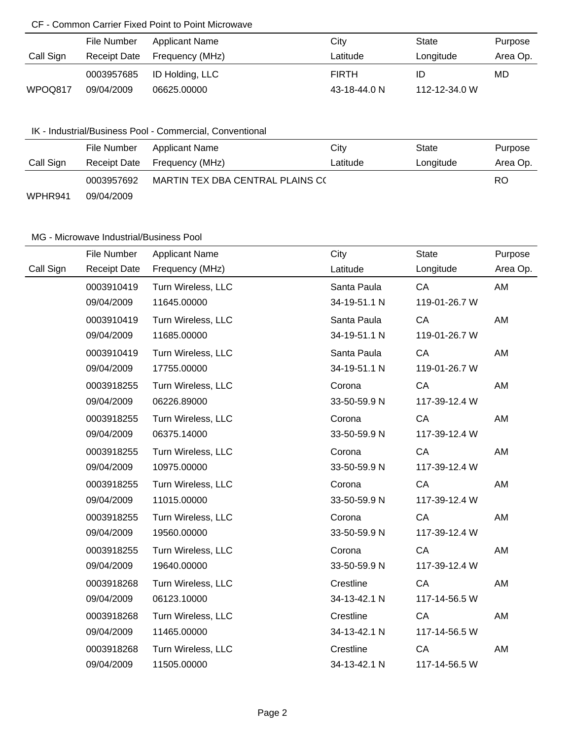# CF - Common Carrier Fixed Point to Point Microwave

|           | File Number         | Applicant Name  | City         | State         | Purpose  |
|-----------|---------------------|-----------------|--------------|---------------|----------|
| Call Sign | <b>Receipt Date</b> | Frequency (MHz) | Latitude     | Longitude     | Area Op. |
|           | 0003957685          | ID Holding, LLC | <b>FIRTH</b> | ID            | MD       |
| WPOQ817   | 09/04/2009          | 06625,00000     | 43-18-44.0 N | 112-12-34.0 W |          |

# IK - Industrial/Business Pool - Commercial, Conventional

|           | File Number  | Applicant Name                   | City     | State     | Purpose  |
|-----------|--------------|----------------------------------|----------|-----------|----------|
| Call Sign | Receipt Date | Frequency (MHz)                  | Latitude | Longitude | Area Op. |
|           | 0003957692   | MARTIN TEX DBA CENTRAL PLAINS C( |          | RO        |          |
| WPHR941   | 09/04/2009   |                                  |          |           |          |

# MG - Microwave Industrial/Business Pool

|           | File Number         | <b>Applicant Name</b> | City         | <b>State</b>  | Purpose  |
|-----------|---------------------|-----------------------|--------------|---------------|----------|
| Call Sign | <b>Receipt Date</b> | Frequency (MHz)       | Latitude     | Longitude     | Area Op. |
|           | 0003910419          | Turn Wireless, LLC    | Santa Paula  | CA            | AM       |
|           | 09/04/2009          | 11645.00000           | 34-19-51.1 N | 119-01-26.7 W |          |
|           | 0003910419          | Turn Wireless, LLC    | Santa Paula  | CA            | AM       |
|           | 09/04/2009          | 11685.00000           | 34-19-51.1 N | 119-01-26.7 W |          |
|           | 0003910419          | Turn Wireless, LLC    | Santa Paula  | CA            | AM       |
|           | 09/04/2009          | 17755.00000           | 34-19-51.1 N | 119-01-26.7 W |          |
|           | 0003918255          | Turn Wireless, LLC    | Corona       | CA            | AM       |
|           | 09/04/2009          | 06226.89000           | 33-50-59.9 N | 117-39-12.4 W |          |
|           | 0003918255          | Turn Wireless, LLC    | Corona       | CA            | AM       |
|           | 09/04/2009          | 06375.14000           | 33-50-59.9 N | 117-39-12.4 W |          |
|           | 0003918255          | Turn Wireless, LLC    | Corona       | CA            | AM       |
|           | 09/04/2009          | 10975.00000           | 33-50-59.9 N | 117-39-12.4 W |          |
|           | 0003918255          | Turn Wireless, LLC    | Corona       | CA            | AM       |
|           | 09/04/2009          | 11015.00000           | 33-50-59.9 N | 117-39-12.4 W |          |
|           | 0003918255          | Turn Wireless, LLC    | Corona       | CA            | AM       |
|           | 09/04/2009          | 19560.00000           | 33-50-59.9 N | 117-39-12.4 W |          |
|           | 0003918255          | Turn Wireless, LLC    | Corona       | CA            | AM       |
|           | 09/04/2009          | 19640.00000           | 33-50-59.9 N | 117-39-12.4 W |          |
|           | 0003918268          | Turn Wireless, LLC    | Crestline    | CA            | AM       |
|           | 09/04/2009          | 06123.10000           | 34-13-42.1 N | 117-14-56.5 W |          |
|           | 0003918268          | Turn Wireless, LLC    | Crestline    | CA            | AM       |
|           | 09/04/2009          | 11465.00000           | 34-13-42.1 N | 117-14-56.5 W |          |
|           | 0003918268          | Turn Wireless, LLC    | Crestline    | CA            | AM       |
|           | 09/04/2009          | 11505.00000           | 34-13-42.1 N | 117-14-56.5 W |          |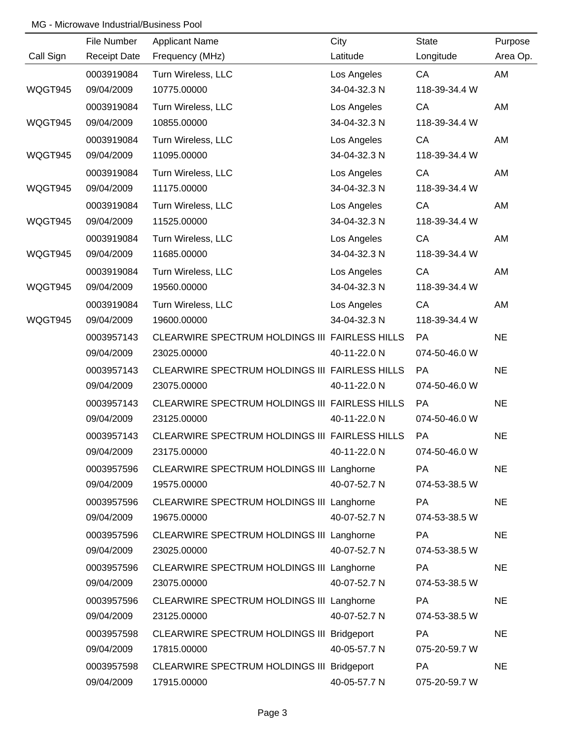## MG - Microwave Industrial/Business Pool

|           | File Number         | <b>Applicant Name</b>                          | City         | <b>State</b>  | Purpose   |
|-----------|---------------------|------------------------------------------------|--------------|---------------|-----------|
| Call Sign | <b>Receipt Date</b> | Frequency (MHz)                                | Latitude     | Longitude     | Area Op.  |
|           | 0003919084          | Turn Wireless, LLC                             | Los Angeles  | CA            | AM        |
| WQGT945   | 09/04/2009          | 10775.00000                                    | 34-04-32.3 N | 118-39-34.4 W |           |
|           | 0003919084          | Turn Wireless, LLC                             | Los Angeles  | CA            | AM        |
| WQGT945   | 09/04/2009          | 10855.00000                                    | 34-04-32.3 N | 118-39-34.4 W |           |
|           | 0003919084          | Turn Wireless, LLC                             | Los Angeles  | CA            | AM        |
| WQGT945   | 09/04/2009          | 11095.00000                                    | 34-04-32.3 N | 118-39-34.4 W |           |
|           | 0003919084          | Turn Wireless, LLC                             | Los Angeles  | CA            | AM        |
| WQGT945   | 09/04/2009          | 11175.00000                                    | 34-04-32.3 N | 118-39-34.4 W |           |
|           | 0003919084          | Turn Wireless, LLC                             | Los Angeles  | CA            | AM        |
| WQGT945   | 09/04/2009          | 11525.00000                                    | 34-04-32.3 N | 118-39-34.4 W |           |
|           | 0003919084          | Turn Wireless, LLC                             | Los Angeles  | CA            | AM        |
| WQGT945   | 09/04/2009          | 11685.00000                                    | 34-04-32.3 N | 118-39-34.4 W |           |
|           | 0003919084          | Turn Wireless, LLC                             | Los Angeles  | CA            | AM        |
| WQGT945   | 09/04/2009          | 19560.00000                                    | 34-04-32.3 N | 118-39-34.4 W |           |
|           | 0003919084          | Turn Wireless, LLC                             | Los Angeles  | CA            | AM        |
| WQGT945   | 09/04/2009          | 19600.00000                                    | 34-04-32.3 N | 118-39-34.4 W |           |
|           | 0003957143          | CLEARWIRE SPECTRUM HOLDINGS III FAIRLESS HILLS |              | PA            | <b>NE</b> |
|           | 09/04/2009          | 23025.00000                                    | 40-11-22.0 N | 074-50-46.0 W |           |
|           | 0003957143          | CLEARWIRE SPECTRUM HOLDINGS III FAIRLESS HILLS |              | <b>PA</b>     | <b>NE</b> |
|           | 09/04/2009          | 23075.00000                                    | 40-11-22.0 N | 074-50-46.0 W |           |
|           | 0003957143          | CLEARWIRE SPECTRUM HOLDINGS III FAIRLESS HILLS |              | PA            | <b>NE</b> |
|           | 09/04/2009          | 23125.00000                                    | 40-11-22.0 N | 074-50-46.0 W |           |
|           | 0003957143          | CLEARWIRE SPECTRUM HOLDINGS III FAIRLESS HILLS |              | PA            | <b>NE</b> |
|           | 09/04/2009          | 23175.00000                                    | 40-11-22.0 N | 074-50-46.0 W |           |
|           | 0003957596          | CLEARWIRE SPECTRUM HOLDINGS III Langhorne      |              | PA            | <b>NE</b> |
|           | 09/04/2009          | 19575.00000                                    | 40-07-52.7 N | 074-53-38.5 W |           |
|           | 0003957596          | CLEARWIRE SPECTRUM HOLDINGS III Langhorne      |              | <b>PA</b>     | <b>NE</b> |
|           | 09/04/2009          | 19675.00000                                    | 40-07-52.7 N | 074-53-38.5 W |           |
|           | 0003957596          | CLEARWIRE SPECTRUM HOLDINGS III Langhorne      |              | PA            | <b>NE</b> |
|           | 09/04/2009          | 23025.00000                                    | 40-07-52.7 N | 074-53-38.5 W |           |
|           | 0003957596          | CLEARWIRE SPECTRUM HOLDINGS III Langhorne      |              | <b>PA</b>     | <b>NE</b> |
|           | 09/04/2009          | 23075.00000                                    | 40-07-52.7 N | 074-53-38.5 W |           |
|           | 0003957596          | CLEARWIRE SPECTRUM HOLDINGS III Langhorne      |              | PA            | <b>NE</b> |
|           | 09/04/2009          | 23125.00000                                    | 40-07-52.7 N | 074-53-38.5 W |           |
|           | 0003957598          | CLEARWIRE SPECTRUM HOLDINGS III Bridgeport     |              | <b>PA</b>     | <b>NE</b> |
|           | 09/04/2009          | 17815.00000                                    | 40-05-57.7 N | 075-20-59.7 W |           |
|           | 0003957598          | CLEARWIRE SPECTRUM HOLDINGS III Bridgeport     |              | PA            | <b>NE</b> |
|           | 09/04/2009          | 17915.00000                                    | 40-05-57.7 N | 075-20-59.7 W |           |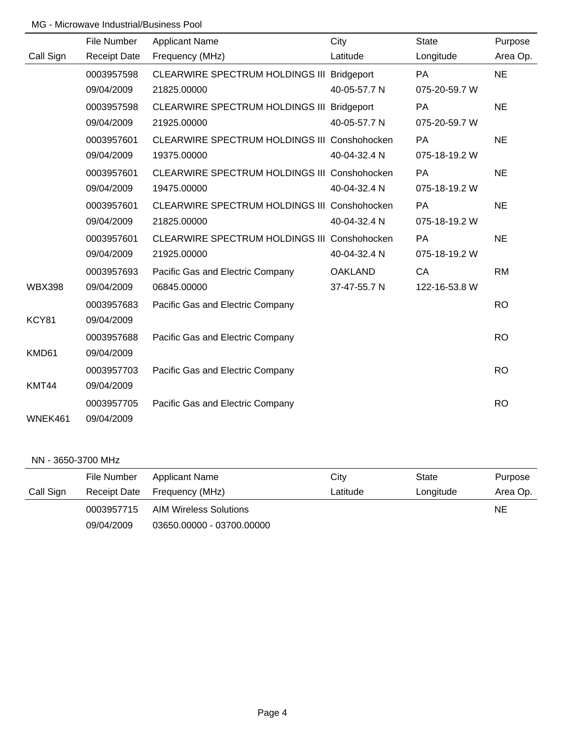## MG - Microwave Industrial/Business Pool

|               | File Number         | <b>Applicant Name</b>                        | City           | <b>State</b>  | Purpose   |  |
|---------------|---------------------|----------------------------------------------|----------------|---------------|-----------|--|
| Call Sign     | <b>Receipt Date</b> | Frequency (MHz)                              | Latitude       | Longitude     | Area Op.  |  |
|               | 0003957598          | CLEARWIRE SPECTRUM HOLDINGS III Bridgeport   |                | PA            | <b>NE</b> |  |
|               | 09/04/2009          | 21825.00000                                  | 40-05-57.7 N   | 075-20-59.7 W |           |  |
|               | 0003957598          | CLEARWIRE SPECTRUM HOLDINGS III Bridgeport   |                | PA            | <b>NE</b> |  |
|               | 09/04/2009          | 21925.00000                                  | 40-05-57.7 N   | 075-20-59.7 W |           |  |
|               | 0003957601          | CLEARWIRE SPECTRUM HOLDINGS III Conshohocken |                | <b>PA</b>     | <b>NE</b> |  |
|               | 09/04/2009          | 19375.00000                                  | 40-04-32.4 N   | 075-18-19.2 W |           |  |
|               | 0003957601          | CLEARWIRE SPECTRUM HOLDINGS III Conshohocken |                | PA            | <b>NE</b> |  |
|               | 09/04/2009          | 19475.00000                                  | 40-04-32.4 N   | 075-18-19.2 W |           |  |
|               | 0003957601          | CLEARWIRE SPECTRUM HOLDINGS III Conshohocken |                | <b>PA</b>     | <b>NE</b> |  |
|               | 09/04/2009          | 21825.00000                                  | 40-04-32.4 N   | 075-18-19.2 W |           |  |
|               | 0003957601          | CLEARWIRE SPECTRUM HOLDINGS III Conshohocken |                | PA            | <b>NE</b> |  |
|               | 09/04/2009          | 21925.00000                                  | 40-04-32.4 N   | 075-18-19.2 W |           |  |
|               | 0003957693          | Pacific Gas and Electric Company             | <b>OAKLAND</b> | CA            | <b>RM</b> |  |
| <b>WBX398</b> | 09/04/2009          | 06845.00000                                  | 37-47-55.7 N   | 122-16-53.8 W |           |  |
|               | 0003957683          | Pacific Gas and Electric Company             |                |               | <b>RO</b> |  |
| KCY81         | 09/04/2009          |                                              |                |               |           |  |
|               | 0003957688          | Pacific Gas and Electric Company             |                |               | <b>RO</b> |  |
| KMD61         | 09/04/2009          |                                              |                |               |           |  |
|               | 0003957703          | Pacific Gas and Electric Company             |                |               | <b>RO</b> |  |
| KMT44         | 09/04/2009          |                                              |                |               |           |  |
|               | 0003957705          | Pacific Gas and Electric Company             |                |               | <b>RO</b> |  |
| WNEK461       | 09/04/2009          |                                              |                |               |           |  |

### NN - 3650-3700 MHz

|           | File Number | Applicant Name               | City     | State     | Purpose  |
|-----------|-------------|------------------------------|----------|-----------|----------|
| Call Sign |             | Receipt Date Frequency (MHz) | Latitude | Longitude | Area Op. |
|           | 0003957715  | AIM Wireless Solutions       |          |           | NE       |
|           | 09/04/2009  | 03650.00000 - 03700.00000    |          |           |          |